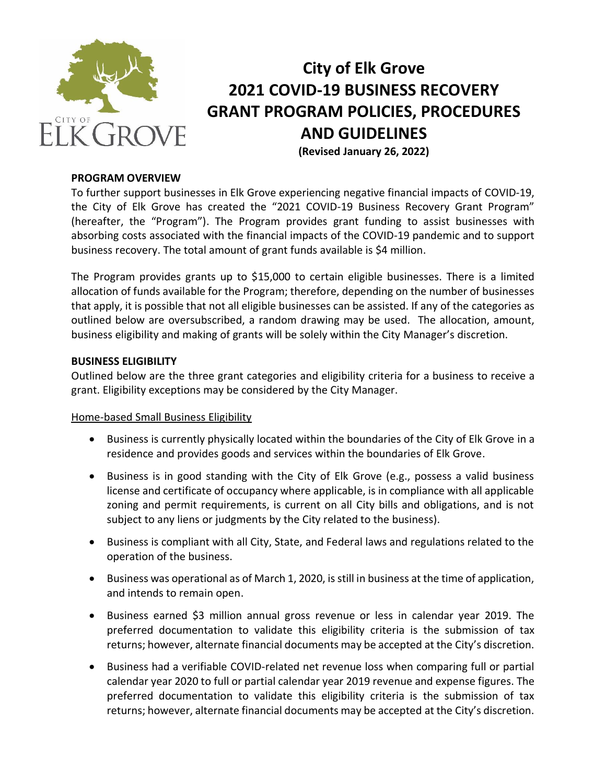

# **City of Elk Grove 2021 COVID-19 BUSINESS RECOVERY GRANT PROGRAM POLICIES, PROCEDURES AND GUIDELINES (Revised January 26, 2022)**

### **PROGRAM OVERVIEW**

To further support businesses in Elk Grove experiencing negative financial impacts of COVID-19, the City of Elk Grove has created the "2021 COVID-19 Business Recovery Grant Program" (hereafter, the "Program"). The Program provides grant funding to assist businesses with absorbing costs associated with the financial impacts of the COVID-19 pandemic and to support business recovery. The total amount of grant funds available is \$4 million.

The Program provides grants up to \$15,000 to certain eligible businesses. There is a limited allocation of funds available for the Program; therefore, depending on the number of businesses that apply, it is possible that not all eligible businesses can be assisted. If any of the categories as outlined below are oversubscribed, a random drawing may be used. The allocation, amount, business eligibility and making of grants will be solely within the City Manager's discretion.

# **BUSINESS ELIGIBILITY**

Outlined below are the three grant categories and eligibility criteria for a business to receive a grant. Eligibility exceptions may be considered by the City Manager.

#### Home-based Small Business Eligibility

- Business is currently physically located within the boundaries of the City of Elk Grove in a residence and provides goods and services within the boundaries of Elk Grove.
- Business is in good standing with the City of Elk Grove (e.g., possess a valid business license and certificate of occupancy where applicable, is in compliance with all applicable zoning and permit requirements, is current on all City bills and obligations, and is not subject to any liens or judgments by the City related to the business).
- Business is compliant with all City, State, and Federal laws and regulations related to the operation of the business.
- Business was operational as of March 1, 2020, is still in business at the time of application, and intends to remain open.
- Business earned \$3 million annual gross revenue or less in calendar year 2019. The preferred documentation to validate this eligibility criteria is the submission of tax returns; however, alternate financial documents may be accepted at the City's discretion.
- Business had a verifiable COVID-related net revenue loss when comparing full or partial calendar year 2020 to full or partial calendar year 2019 revenue and expense figures. The preferred documentation to validate this eligibility criteria is the submission of tax returns; however, alternate financial documents may be accepted at the City's discretion.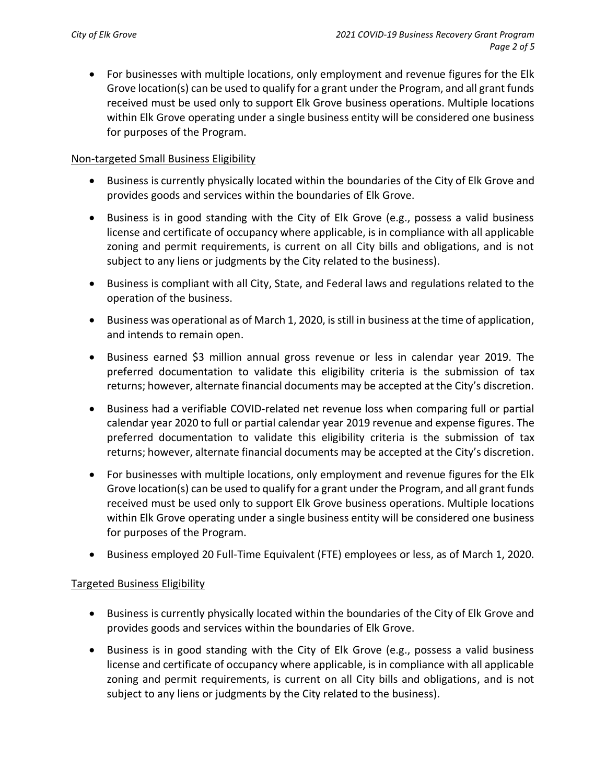• For businesses with multiple locations, only employment and revenue figures for the Elk Grove location(s) can be used to qualify for a grant under the Program, and all grant funds received must be used only to support Elk Grove business operations. Multiple locations within Elk Grove operating under a single business entity will be considered one business for purposes of the Program.

# Non-targeted Small Business Eligibility

- Business is currently physically located within the boundaries of the City of Elk Grove and provides goods and services within the boundaries of Elk Grove.
- Business is in good standing with the City of Elk Grove (e.g., possess a valid business license and certificate of occupancy where applicable, is in compliance with all applicable zoning and permit requirements, is current on all City bills and obligations, and is not subject to any liens or judgments by the City related to the business).
- Business is compliant with all City, State, and Federal laws and regulations related to the operation of the business.
- Business was operational as of March 1, 2020, is still in business at the time of application, and intends to remain open.
- Business earned \$3 million annual gross revenue or less in calendar year 2019. The preferred documentation to validate this eligibility criteria is the submission of tax returns; however, alternate financial documents may be accepted at the City's discretion.
- Business had a verifiable COVID-related net revenue loss when comparing full or partial calendar year 2020 to full or partial calendar year 2019 revenue and expense figures. The preferred documentation to validate this eligibility criteria is the submission of tax returns; however, alternate financial documents may be accepted at the City's discretion.
- For businesses with multiple locations, only employment and revenue figures for the Elk Grove location(s) can be used to qualify for a grant under the Program, and all grant funds received must be used only to support Elk Grove business operations. Multiple locations within Elk Grove operating under a single business entity will be considered one business for purposes of the Program.
- Business employed 20 Full-Time Equivalent (FTE) employees or less, as of March 1, 2020.

# Targeted Business Eligibility

- Business is currently physically located within the boundaries of the City of Elk Grove and provides goods and services within the boundaries of Elk Grove.
- Business is in good standing with the City of Elk Grove (e.g., possess a valid business license and certificate of occupancy where applicable, is in compliance with all applicable zoning and permit requirements, is current on all City bills and obligations, and is not subject to any liens or judgments by the City related to the business).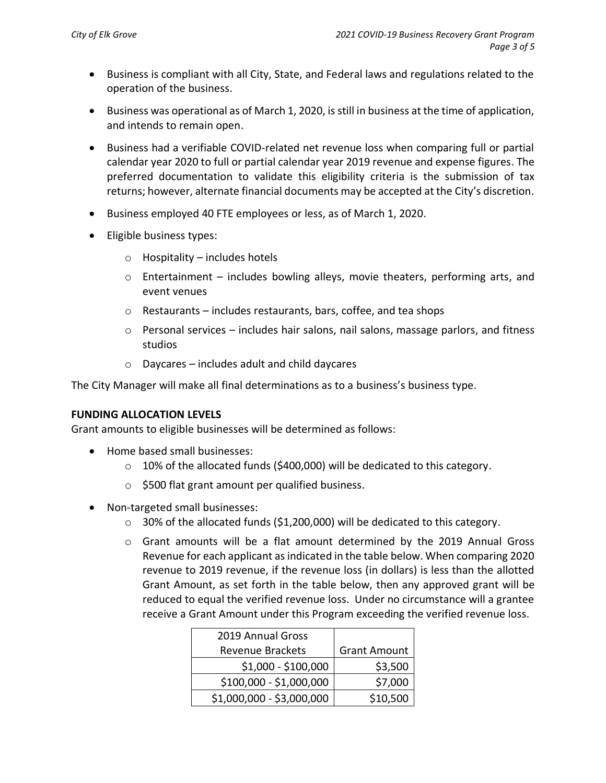- Business is compliant with all City, State, and Federal laws and regulations related to the operation of the business.
- Business was operational as of March 1, 2020, is still in business at the time of application, and intends to remain open.
- Business had a verifiable COVID-related net revenue loss when comparing full or partial calendar year 2020 to full or partial calendar year 2019 revenue and expense figures. The preferred documentation to validate this eligibility criteria is the submission of tax returns; however, alternate financial documents may be accepted at the City's discretion.
- Business employed 40 FTE employees or less, as of March 1, 2020.
- Eligible business types:
	- $\circ$  Hospitality includes hotels
	- $\circ$  Entertainment includes bowling alleys, movie theaters, performing arts, and event venues
	- o Restaurants includes restaurants, bars, coffee, and tea shops
	- $\circ$  Personal services includes hair salons, nail salons, massage parlors, and fitness studios
	- o Daycares includes adult and child daycares

The City Manager will make all final determinations as to a business's business type.

# **FUNDING ALLOCATION LEVELS**

Grant amounts to eligible businesses will be determined as follows:

- Home based small businesses:
	- $\circ$  10% of the allocated funds (\$400,000) will be dedicated to this category.
	- o \$500 flat grant amount per qualified business.
- Non-targeted small businesses:
	- o 30% of the allocated funds (\$1,200,000) will be dedicated to this category.
	- o Grant amounts will be a flat amount determined by the 2019 Annual Gross Revenue for each applicant as indicated in the table below. When comparing 2020 revenue to 2019 revenue, if the revenue loss (in dollars) is less than the allotted Grant Amount, as set forth in the table below, then any approved grant will be reduced to equal the verified revenue loss. Under no circumstance will a grantee receive a Grant Amount under this Program exceeding the verified revenue loss.

| 2019 Annual Gross         |                     |
|---------------------------|---------------------|
| <b>Revenue Brackets</b>   | <b>Grant Amount</b> |
| \$1,000 - \$100,000       | \$3,500             |
| \$100,000 - \$1,000,000   | \$7,000             |
| \$1,000,000 - \$3,000,000 | \$10,500            |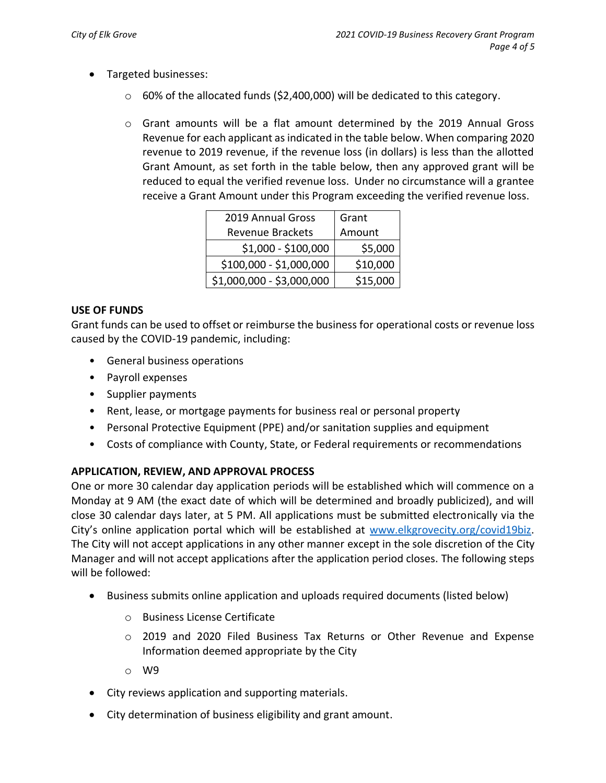- Targeted businesses:
	- $\circ$  60% of the allocated funds (\$2,400,000) will be dedicated to this category.
	- o Grant amounts will be a flat amount determined by the 2019 Annual Gross Revenue for each applicant as indicated in the table below. When comparing 2020 revenue to 2019 revenue, if the revenue loss (in dollars) is less than the allotted Grant Amount, as set forth in the table below, then any approved grant will be reduced to equal the verified revenue loss. Under no circumstance will a grantee receive a Grant Amount under this Program exceeding the verified revenue loss.

| 2019 Annual Gross         | Grant    |
|---------------------------|----------|
| <b>Revenue Brackets</b>   | Amount   |
| \$1,000 - \$100,000       | \$5,000  |
| \$100,000 - \$1,000,000   | \$10,000 |
| \$1,000,000 - \$3,000,000 | \$15,000 |

# **USE OF FUNDS**

Grant funds can be used to offset or reimburse the business for operational costs or revenue loss caused by the COVID-19 pandemic, including:

- General business operations
- Payroll expenses
- Supplier payments
- Rent, lease, or mortgage payments for business real or personal property
- Personal Protective Equipment (PPE) and/or sanitation supplies and equipment
- Costs of compliance with County, State, or Federal requirements or recommendations

# **APPLICATION, REVIEW, AND APPROVAL PROCESS**

One or more 30 calendar day application periods will be established which will commence on a Monday at 9 AM (the exact date of which will be determined and broadly publicized), and will close 30 calendar days later, at 5 PM. All applications must be submitted electronically via the City's online application portal which will be established at [www.elkgrovecity.org/covid19biz.](http://www.elkgrovecity.org/covid19biz) The City will not accept applications in any other manner except in the sole discretion of the City Manager and will not accept applications after the application period closes. The following steps will be followed:

- Business submits online application and uploads required documents (listed below)
	- o Business License Certificate
	- o 2019 and 2020 Filed Business Tax Returns or Other Revenue and Expense Information deemed appropriate by the City
	- o W9
- City reviews application and supporting materials.
- City determination of business eligibility and grant amount.